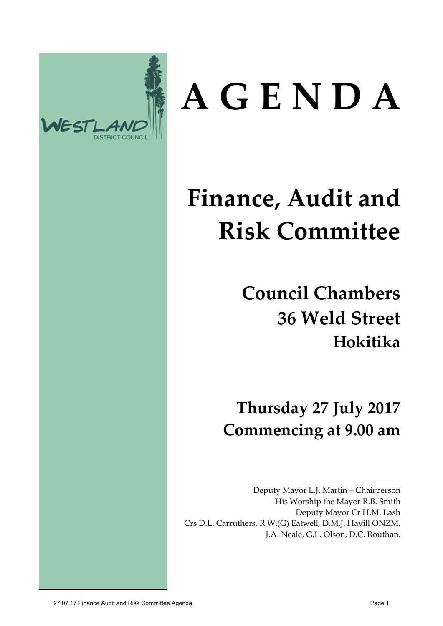

# **A G E N D A**

# **Finance, Audit and Risk Committee**

**Council Chambers 36 Weld Street Hokitika**

**Thursday 27 July 2017 Commencing at 9.00 am**

Deputy Mayor L.J. Martin – Chairperson His Worship the Mayor R.B. Smith Deputy Mayor Cr H.M. Lash Crs D.L. Carruthers, R.W.(G) Eatwell, D.M.J. Havill ONZM, J.A. Neale, G.L. Olson, D.C. Routhan.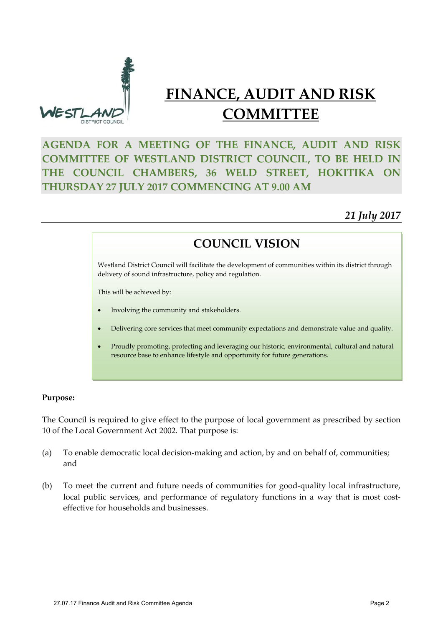

### **FINANCE, AUDIT AND RISK COMMITTEE**

#### **AGENDA FOR A MEETING OF THE FINANCE, AUDIT AND RISK COMMITTEE OF WESTLAND DISTRICT COUNCIL, TO BE HELD IN THE COUNCIL CHAMBERS, 36 WELD STREET, HOKITIKA ON THURSDAY 27 JULY 2017 COMMENCING AT 9.00 AM**

#### *21 July 2017*

#### **COUNCIL VISION**

Westland District Council will facilitate the development of communities within its district through delivery of sound infrastructure, policy and regulation.

This will be achieved by:

- Involving the community and stakeholders.
- Delivering core services that meet community expectations and demonstrate value and quality.
- Proudly promoting, protecting and leveraging our historic, environmental, cultural and natural resource base to enhance lifestyle and opportunity for future generations.

#### **Purpose:**

The Council is required to give effect to the purpose of local government as prescribed by section 10 of the Local Government Act 2002. That purpose is:

- (a) To enable democratic local decision-making and action, by and on behalf of, communities; and
- (b) To meet the current and future needs of communities for good-quality local infrastructure, local public services, and performance of regulatory functions in a way that is most costeffective for households and businesses.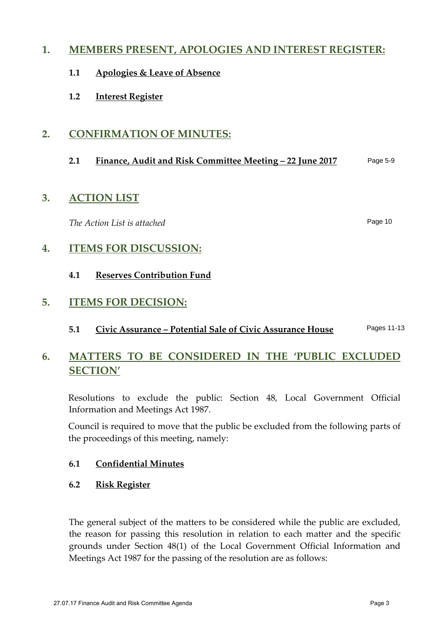#### **1. MEMBERS PRESENT, APOLOGIES AND INTEREST REGISTER:**

- **1.1 Apologies & Leave of Absence**
- **1.2 Interest Register**

#### **2. CONFIRMATION OF MINUTES:**

#### **2.1 Finance, Audit and Risk Committee Meeting – 22 June 2017** Page 5-9

#### **3. ACTION LIST**

*The Action List is attached*

Page 10

#### **4. ITEMS FOR DISCUSSION:**

**4.1 Reserves Contribution Fund**

#### **5. ITEMS FOR DECISION:**

**5.1 Civic Assurance – Potential Sale of Civic Assurance House** Pages 11-13

#### **6. MATTERS TO BE CONSIDERED IN THE 'PUBLIC EXCLUDED SECTION'**

Resolutions to exclude the public: Section 48, Local Government Official Information and Meetings Act 1987.

Council is required to move that the public be excluded from the following parts of the proceedings of this meeting, namely:

#### **6.1 Confidential Minutes**

**6.2 Risk Register**

The general subject of the matters to be considered while the public are excluded, the reason for passing this resolution in relation to each matter and the specific grounds under Section 48(1) of the Local Government Official Information and Meetings Act 1987 for the passing of the resolution are as follows: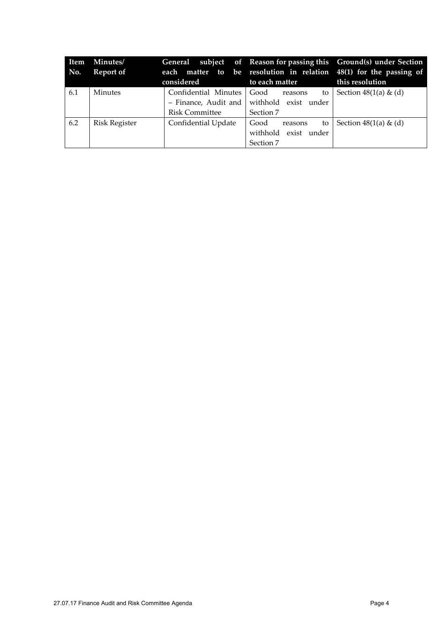| Item<br>No. | Minutes/<br>Report of | considered                                    | to each matter                                                                    | General subject of Reason for passing this Ground(s) under Section<br>each matter to be resolution in relation 48(1) for the passing of<br>this resolution |
|-------------|-----------------------|-----------------------------------------------|-----------------------------------------------------------------------------------|------------------------------------------------------------------------------------------------------------------------------------------------------------|
| 6.1         | <b>Minutes</b>        | Confidential Minutes<br><b>Risk Committee</b> | Good<br>to l<br>reasons<br>- Finance, Audit and withhold exist under<br>Section 7 | Section $48(1(a) \& (d)$                                                                                                                                   |
| 6.2         | <b>Risk Register</b>  | Confidential Update                           | Good<br>to<br>reasons<br>withhold exist under<br>Section 7                        | Section $48(1(a) \& (d)$                                                                                                                                   |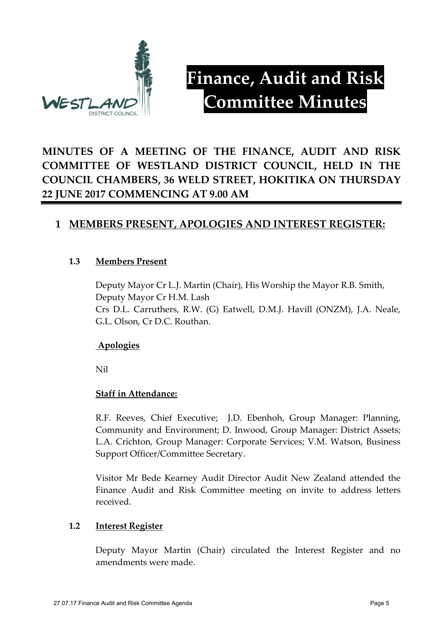

## **Finance, Audit and Risk Committee Minutes**

#### **MINUTES OF A MEETING OF THE FINANCE, AUDIT AND RISK COMMITTEE OF WESTLAND DISTRICT COUNCIL, HELD IN THE COUNCIL CHAMBERS, 36 WELD STREET, HOKITIKA ON THURSDAY 22 JUNE 2017 COMMENCING AT 9.00 AM**

#### **1 MEMBERS PRESENT, APOLOGIES AND INTEREST REGISTER:**

#### **1.3 Members Present**

Deputy Mayor Cr L.J. Martin (Chair), His Worship the Mayor R.B. Smith, Deputy Mayor Cr H.M. Lash Crs D.L. Carruthers, R.W. (G) Eatwell, D.M.J. Havill (ONZM), J.A. Neale, G.L. Olson, Cr D.C. Routhan.

#### **Apologies**

Nil

#### **Staff in Attendance:**

R.F. Reeves, Chief Executive; J.D. Ebenhoh, Group Manager: Planning, Community and Environment; D. Inwood, Group Manager: District Assets; L.A. Crichton, Group Manager: Corporate Services; V.M. Watson, Business Support Officer/Committee Secretary.

Visitor Mr Bede Kearney Audit Director Audit New Zealand attended the Finance Audit and Risk Committee meeting on invite to address letters received.

#### **1.2 Interest Register**

Deputy Mayor Martin (Chair) circulated the Interest Register and no amendments were made.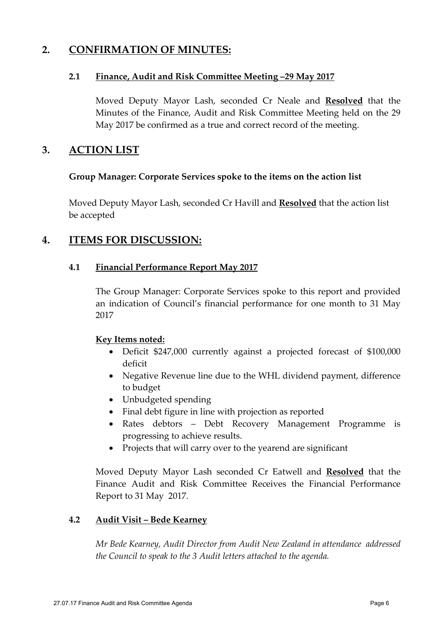#### **2. CONFIRMATION OF MINUTES:**

#### **2.1 Finance, Audit and Risk Committee Meeting –29 May 2017**

Moved Deputy Mayor Lash, seconded Cr Neale and **Resolved** that the Minutes of the Finance, Audit and Risk Committee Meeting held on the 29 May 2017 be confirmed as a true and correct record of the meeting.

#### **3. ACTION LIST**

#### **Group Manager: Corporate Services spoke to the items on the action list**

Moved Deputy Mayor Lash, seconded Cr Havill and **Resolved** that the action list be accepted

#### **4. ITEMS FOR DISCUSSION:**

#### **4.1 Financial Performance Report May 2017**

The Group Manager: Corporate Services spoke to this report and provided an indication of Council's financial performance for one month to 31 May 2017

#### **Key Items noted:**

- Deficit \$247,000 currently against a projected forecast of \$100,000 deficit
- Negative Revenue line due to the WHL dividend payment, difference to budget
- Unbudgeted spending
- Final debt figure in line with projection as reported
- Rates debtors Debt Recovery Management Programme is progressing to achieve results.
- Projects that will carry over to the yearend are significant

Moved Deputy Mayor Lash seconded Cr Eatwell and **Resolved** that the Finance Audit and Risk Committee Receives the Financial Performance Report to 31 May 2017.

#### **4.2 Audit Visit – Bede Kearney**

*Mr Bede Kearney, Audit Director from Audit New Zealand in attendance addressed the Council to speak to the 3 Audit letters attached to the agenda.*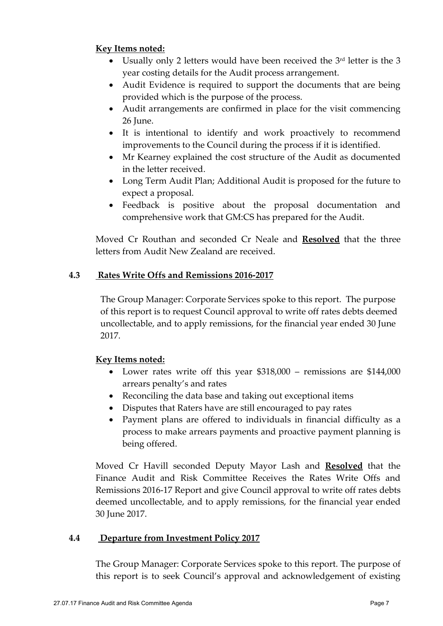#### **Key Items noted:**

- Usually only 2 letters would have been received the  $3<sup>rd</sup>$  letter is the 3 year costing details for the Audit process arrangement.
- Audit Evidence is required to support the documents that are being provided which is the purpose of the process.
- Audit arrangements are confirmed in place for the visit commencing 26 June.
- It is intentional to identify and work proactively to recommend improvements to the Council during the process if it is identified.
- Mr Kearney explained the cost structure of the Audit as documented in the letter received.
- Long Term Audit Plan; Additional Audit is proposed for the future to expect a proposal.
- Feedback is positive about the proposal documentation and comprehensive work that GM:CS has prepared for the Audit.

Moved Cr Routhan and seconded Cr Neale and **Resolved** that the three letters from Audit New Zealand are received.

#### **4.3 Rates Write Offs and Remissions 2016-2017**

The Group Manager: Corporate Services spoke to this report. The purpose of this report is to request Council approval to write off rates debts deemed uncollectable, and to apply remissions, for the financial year ended 30 June 2017.

#### **Key Items noted:**

- Lower rates write off this year \$318,000 remissions are \$144,000 arrears penalty's and rates
- Reconciling the data base and taking out exceptional items
- Disputes that Raters have are still encouraged to pay rates
- Payment plans are offered to individuals in financial difficulty as a process to make arrears payments and proactive payment planning is being offered.

Moved Cr Havill seconded Deputy Mayor Lash and **Resolved** that the Finance Audit and Risk Committee Receives the Rates Write Offs and Remissions 2016-17 Report and give Council approval to write off rates debts deemed uncollectable, and to apply remissions, for the financial year ended 30 June 2017.

#### **4.4 Departure from Investment Policy 2017**

The Group Manager: Corporate Services spoke to this report. The purpose of this report is to seek Council's approval and acknowledgement of existing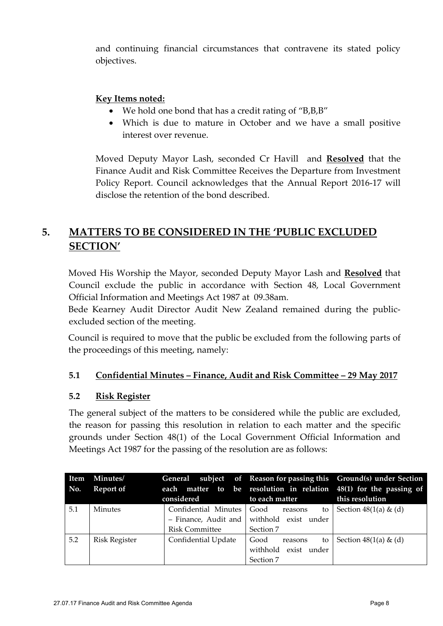and continuing financial circumstances that contravene its stated policy objectives.

#### **Key Items noted:**

- We hold one bond that has a credit rating of "B,B,B"
- Which is due to mature in October and we have a small positive interest over revenue.

Moved Deputy Mayor Lash, seconded Cr Havill and **Resolved** that the Finance Audit and Risk Committee Receives the Departure from Investment Policy Report. Council acknowledges that the Annual Report 2016-17 will disclose the retention of the bond described.

#### **5. MATTERS TO BE CONSIDERED IN THE 'PUBLIC EXCLUDED SECTION'**

Moved His Worship the Mayor, seconded Deputy Mayor Lash and **Resolved** that Council exclude the public in accordance with Section 48, Local Government Official Information and Meetings Act 1987 at 09.38am.

Bede Kearney Audit Director Audit New Zealand remained during the publicexcluded section of the meeting.

Council is required to move that the public be excluded from the following parts of the proceedings of this meeting, namely:

#### **5.1 Confidential Minutes – Finance, Audit and Risk Committee – 29 May 2017**

#### **5.2 Risk Register**

The general subject of the matters to be considered while the public are excluded, the reason for passing this resolution in relation to each matter and the specific grounds under Section 48(1) of the Local Government Official Information and Meetings Act 1987 for the passing of the resolution are as follows:

| Item<br>No. | Minutes/<br>Report of | considered                                                            | to each matter                                             | General subject of Reason for passing this Ground(s) under Section<br>each matter to be resolution in relation 48(1) for the passing of<br>this resolution |
|-------------|-----------------------|-----------------------------------------------------------------------|------------------------------------------------------------|------------------------------------------------------------------------------------------------------------------------------------------------------------|
| 5.1         | <b>Minutes</b>        | Confidential Minutes<br>- Finance, Audit and<br><b>Risk Committee</b> | Good<br>to<br>reasons<br>withhold exist under<br>Section 7 | Section $48(1(a) \& (d)$                                                                                                                                   |
| 5.2         | <b>Risk Register</b>  | Confidential Update                                                   | Good<br>to<br>reasons<br>withhold exist under<br>Section 7 | Section $48(1(a) \& (d)$                                                                                                                                   |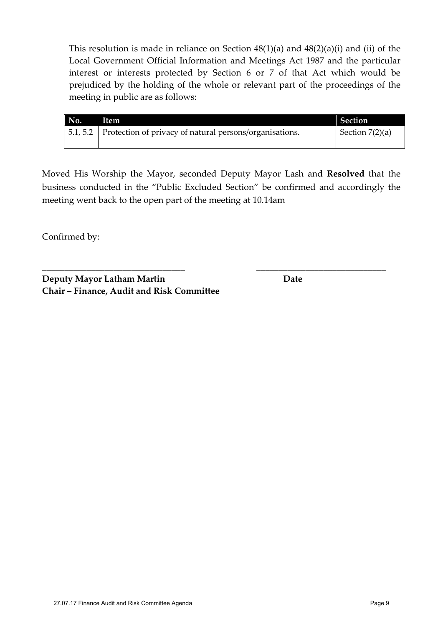This resolution is made in reliance on Section  $48(1)(a)$  and  $48(2)(a)(i)$  and (ii) of the Local Government Official Information and Meetings Act 1987 and the particular interest or interests protected by Section 6 or 7 of that Act which would be prejudiced by the holding of the whole or relevant part of the proceedings of the meeting in public are as follows:

| No. | <b>Item</b>                                                      | <b>Section</b>    |
|-----|------------------------------------------------------------------|-------------------|
|     | 5.1, 5.2 Protection of privacy of natural persons/organisations. | Section $7(2)(a)$ |
|     |                                                                  |                   |

Moved His Worship the Mayor, seconded Deputy Mayor Lash and **Resolved** that the business conducted in the "Public Excluded Section" be confirmed and accordingly the meeting went back to the open part of the meeting at 10.14am

**\_\_\_\_\_\_\_\_\_\_\_\_\_\_\_\_\_\_\_\_\_\_\_\_\_\_\_\_\_\_\_\_ \_\_\_\_\_\_\_\_\_\_\_\_\_\_\_\_\_\_\_\_\_\_\_\_\_\_\_\_\_**

Confirmed by:

**Deputy Mayor Latham Martin Date Chair – Finance, Audit and Risk Committee**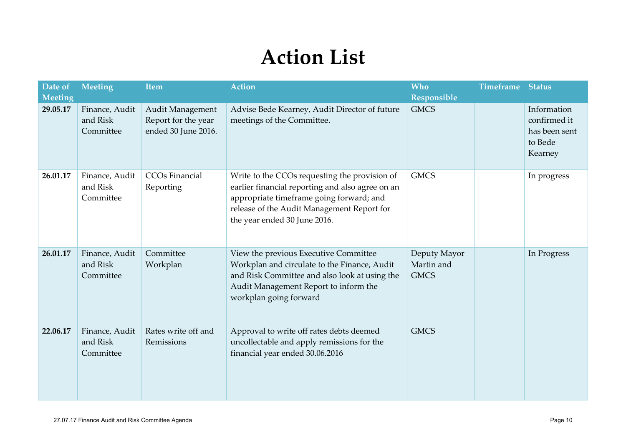# **Action List**

| Date of<br>Meeting | Meeting                                 | <b>Item</b>                                                    | <b>Action</b>                                                                                                                                                                                                               | <b>Who</b><br>Responsible                 | <b>Timeframe Status</b> |                                                                    |
|--------------------|-----------------------------------------|----------------------------------------------------------------|-----------------------------------------------------------------------------------------------------------------------------------------------------------------------------------------------------------------------------|-------------------------------------------|-------------------------|--------------------------------------------------------------------|
| 29.05.17           | Finance, Audit<br>and Risk<br>Committee | Audit Management<br>Report for the year<br>ended 30 June 2016. | Advise Bede Kearney, Audit Director of future<br>meetings of the Committee.                                                                                                                                                 | <b>GMCS</b>                               |                         | Information<br>confirmed it<br>has been sent<br>to Bede<br>Kearney |
| 26.01.17           | Finance, Audit<br>and Risk<br>Committee | CCO <sub>s</sub> Financial<br>Reporting                        | Write to the CCOs requesting the provision of<br>earlier financial reporting and also agree on an<br>appropriate timeframe going forward; and<br>release of the Audit Management Report for<br>the year ended 30 June 2016. | <b>GMCS</b>                               |                         | In progress                                                        |
| 26.01.17           | Finance, Audit<br>and Risk<br>Committee | Committee<br>Workplan                                          | View the previous Executive Committee<br>Workplan and circulate to the Finance, Audit<br>and Risk Committee and also look at using the<br>Audit Management Report to inform the<br>workplan going forward                   | Deputy Mayor<br>Martin and<br><b>GMCS</b> |                         | In Progress                                                        |
| 22.06.17           | Finance, Audit<br>and Risk<br>Committee | Rates write off and<br>Remissions                              | Approval to write off rates debts deemed<br>uncollectable and apply remissions for the<br>financial year ended 30.06.2016                                                                                                   | <b>GMCS</b>                               |                         |                                                                    |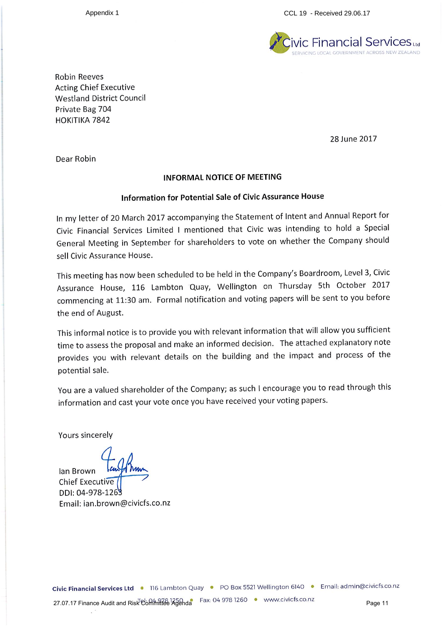Appendix 1

CCL 19 - Received 29.06.17



**Robin Reeves Acting Chief Executive Westland District Council** Private Bag 704 HOKITIKA 7842

28 June 2017

Dear Robin

#### **INFORMAL NOTICE OF MEETING**

#### Information for Potential Sale of Civic Assurance House

In my letter of 20 March 2017 accompanying the Statement of Intent and Annual Report for Civic Financial Services Limited I mentioned that Civic was intending to hold a Special General Meeting in September for shareholders to vote on whether the Company should sell Civic Assurance House.

This meeting has now been scheduled to be held in the Company's Boardroom, Level 3, Civic Assurance House, 116 Lambton Quay, Wellington on Thursday 5th October 2017 commencing at 11:30 am. Formal notification and voting papers will be sent to you before the end of August.

This informal notice is to provide you with relevant information that will allow you sufficient time to assess the proposal and make an informed decision. The attached explanatory note provides you with relevant details on the building and the impact and process of the potential sale.

You are a valued shareholder of the Company; as such I encourage you to read through this information and cast your vote once you have received your voting papers.

Yours sincerely

lan Brown ka **Chief Executive** DDI: 04-978-126 Email: ian.brown@civicfs.co.nz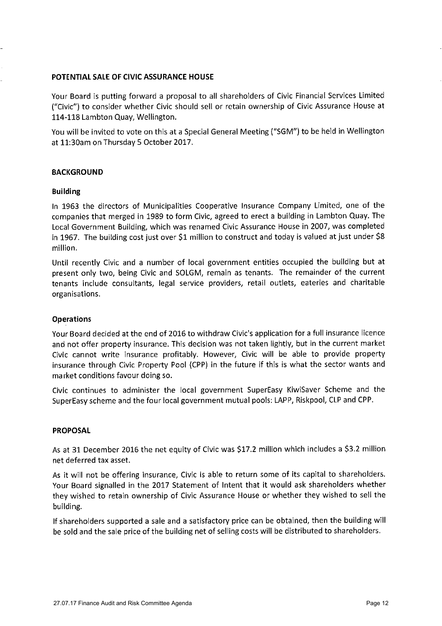#### POTENTIAL SALE OF CIVIC ASSURANCE HOUSE

Your Board is putting forward a proposal to all shareholders of Civic Financial Services Limited ("Civic") to consider whether Civic should sell or retain ownership of Civic Assurance House at 114-118 Lambton Quay, Wellington.

You will be invited to vote on this at a Special General Meeting ("SGM") to be held in Wellington at 11:30am on Thursday 5 October 2017.

#### **BACKGROUND**

#### **Building**

In 1963 the directors of Municipalities Cooperative Insurance Company Limited, one of the companies that merged in 1989 to form Civic, agreed to erect a building in Lambton Quay. The Local Government Building, which was renamed Civic Assurance House in 2007, was completed in 1967. The building cost just over \$1 million to construct and today is valued at just under \$8 million.

Until recently Civic and a number of local government entities occupied the building but at present only two, being Civic and SOLGM, remain as tenants. The remainder of the current tenants include consultants, legal service providers, retail outlets, eateries and charitable organisations.

#### **Operations**

Your Board decided at the end of 2016 to withdraw Civic's application for a full insurance licence and not offer property insurance. This decision was not taken lightly, but in the current market Civic cannot write insurance profitably. However, Civic will be able to provide property insurance through Civic Property Pool (CPP) in the future if this is what the sector wants and market conditions favour doing so.

Civic continues to administer the local government SuperEasy KiwiSaver Scheme and the SuperEasy scheme and the four local government mutual pools: LAPP, Riskpool, CLP and CPP.

#### **PROPOSAL**

As at 31 December 2016 the net equity of Civic was \$17.2 million which includes a \$3.2 million net deferred tax asset.

As it will not be offering insurance, Civic is able to return some of its capital to shareholders. Your Board signalled in the 2017 Statement of Intent that it would ask shareholders whether they wished to retain ownership of Civic Assurance House or whether they wished to sell the building.

If shareholders supported a sale and a satisfactory price can be obtained, then the building will be sold and the sale price of the building net of selling costs will be distributed to shareholders.